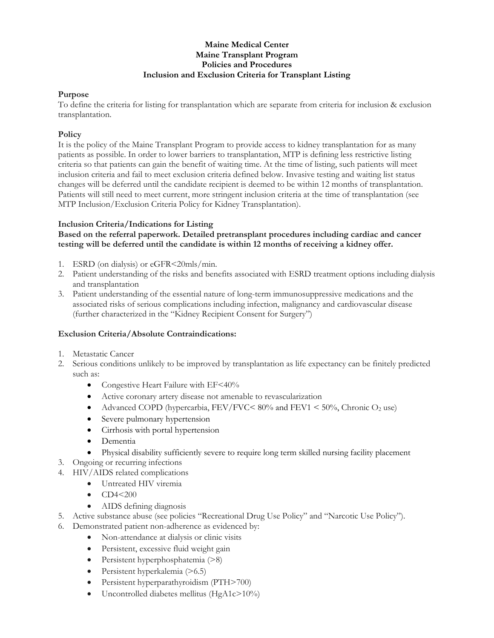# **Maine Medical Center Maine Transplant Program Policies and Procedures Inclusion and Exclusion Criteria for Transplant Listing**

#### **Purpose**

To define the criteria for listing for transplantation which are separate from criteria for inclusion & exclusion transplantation.

### **Policy**

It is the policy of the Maine Transplant Program to provide access to kidney transplantation for as many patients as possible. In order to lower barriers to transplantation, MTP is defining less restrictive listing criteria so that patients can gain the benefit of waiting time. At the time of listing, such patients will meet inclusion criteria and fail to meet exclusion criteria defined below. Invasive testing and waiting list status changes will be deferred until the candidate recipient is deemed to be within 12 months of transplantation. Patients will still need to meet current, more stringent inclusion criteria at the time of transplantation (see MTP Inclusion/Exclusion Criteria Policy for Kidney Transplantation).

#### **Inclusion Criteria/Indications for Listing**

### **Based on the referral paperwork. Detailed pretransplant procedures including cardiac and cancer testing will be deferred until the candidate is within 12 months of receiving a kidney offer.**

- 1. ESRD (on dialysis) or eGFR<20mls/min.
- 2. Patient understanding of the risks and benefits associated with ESRD treatment options including dialysis and transplantation
- 3. Patient understanding of the essential nature of long-term immunosuppressive medications and the associated risks of serious complications including infection, malignancy and cardiovascular disease (further characterized in the "Kidney Recipient Consent for Surgery")

# **Exclusion Criteria/Absolute Contraindications:**

- 1. Metastatic Cancer
- 2. Serious conditions unlikely to be improved by transplantation as life expectancy can be finitely predicted such as:
	- Congestive Heart Failure with EF<40%
	- Active coronary artery disease not amenable to revascularization
	- Advanced COPD (hypercarbia, FEV/FVC <  $80\%$  and FEV1 <  $50\%$ , Chronic  $O_2$  use)
	- Severe pulmonary hypertension
	- Cirrhosis with portal hypertension
	- Dementia
	- Physical disability sufficiently severe to require long term skilled nursing facility placement
- 3. Ongoing or recurring infections
- 4. HIV/AIDS related complications
	- Untreated HIV viremia
	- $CD4<200$
	- AIDS defining diagnosis
- 5. Active substance abuse (see policies "Recreational Drug Use Policy" and "Narcotic Use Policy").
- 6. Demonstrated patient non-adherence as evidenced by:
	- Non-attendance at dialysis or clinic visits
	- Persistent, excessive fluid weight gain
	- Persistent hyperphosphatemia (>8)
	- Persistent hyperkalemia (>6.5)
	- Persistent hyperparathyroidism (PTH>700)
	- $\bullet$  Uncontrolled diabetes mellitus (HgA1c>10%)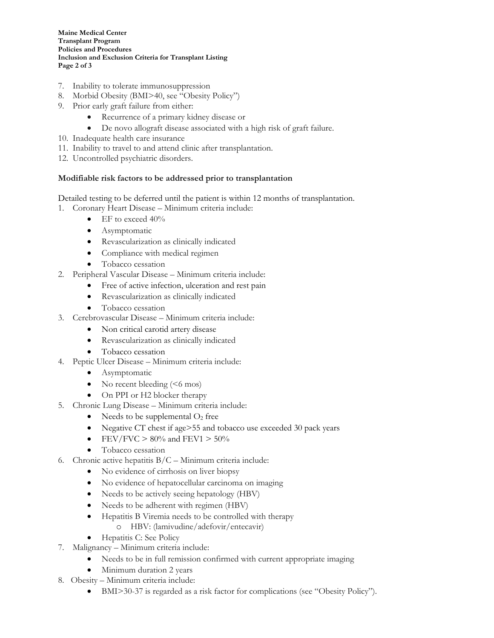**Maine Medical Center Transplant Program Policies and Procedures Inclusion and Exclusion Criteria for Transplant Listing Page 2 of 3**

- 7. Inability to tolerate immunosuppression
- 8. Morbid Obesity (BMI>40, see "Obesity Policy")
- 9. Prior early graft failure from either:
	- Recurrence of a primary kidney disease or
	- De novo allograft disease associated with a high risk of graft failure.
- 10. Inadequate health care insurance
- 11. Inability to travel to and attend clinic after transplantation.
- 12. Uncontrolled psychiatric disorders.

# **Modifiable risk factors to be addressed prior to transplantation**

Detailed testing to be deferred until the patient is within 12 months of transplantation.

- 1. Coronary Heart Disease Minimum criteria include:
	- $\bullet$  EF to exceed 40%
	- Asymptomatic
	- Revascularization as clinically indicated
	- Compliance with medical regimen
	- Tobacco cessation
- 2. Peripheral Vascular Disease Minimum criteria include:
	- Free of active infection, ulceration and rest pain
	- Revascularization as clinically indicated
	- Tobacco cessation
- 3. Cerebrovascular Disease Minimum criteria include:
	- Non critical carotid artery disease
	- Revascularization as clinically indicated
	- Tobacco cessation
- 4. Peptic Ulcer Disease Minimum criteria include:
	- Asymptomatic
	- No recent bleeding  $(< 6 \text{ mos})$
	- On PPI or H2 blocker therapy
- 5. Chronic Lung Disease Minimum criteria include:
	- Needs to be supplemental  $O_2$  free
	- Negative CT chest if age>55 and tobacco use exceeded 30 pack years
	- FEV/FVC  $> 80\%$  and FEV1  $> 50\%$
	- Tobacco cessation
- 6. Chronic active hepatitis B/C Minimum criteria include:
	- No evidence of cirrhosis on liver biopsy
	- No evidence of hepatocellular carcinoma on imaging
	- Needs to be actively seeing hepatology (HBV)
	- Needs to be adherent with regimen (HBV)
	- Hepatitis B Viremia needs to be controlled with therapy o HBV: (lamivudine/adefovir/entecavir)
	- Hepatitis C: See Policy
- 7. Malignancy Minimum criteria include:
	- Needs to be in full remission confirmed with current appropriate imaging
- Minimum duration 2 years
- 8. Obesity Minimum criteria include:
	- BMI>30-37 is regarded as a risk factor for complications (see "Obesity Policy").